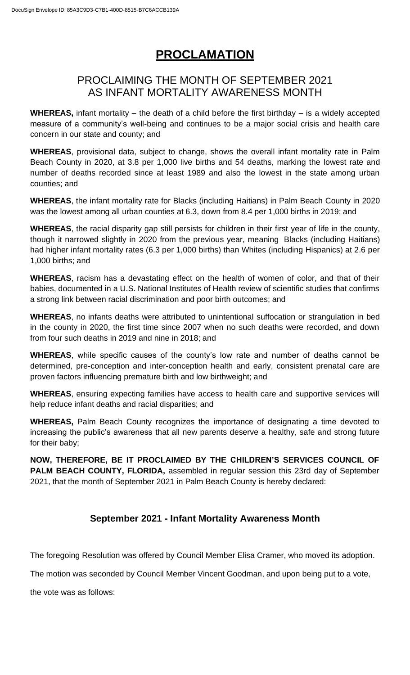## **PROCLAMATION**

## PROCLAIMING THE MONTH OF SEPTEMBER 2021 AS INFANT MORTALITY AWARENESS MONTH

**WHEREAS,** infant mortality – the death of a child before the first birthday – is a widely accepted measure of a community's well-being and continues to be a major social crisis and health care concern in our state and county; and

**WHEREAS**, provisional data, subject to change, shows the overall infant mortality rate in Palm Beach County in 2020, at 3.8 per 1,000 live births and 54 deaths, marking the lowest rate and number of deaths recorded since at least 1989 and also the lowest in the state among urban counties; and

**WHEREAS**, the infant mortality rate for Blacks (including Haitians) in Palm Beach County in 2020 was the lowest among all urban counties at 6.3, down from 8.4 per 1,000 births in 2019; and

**WHEREAS**, the racial disparity gap still persists for children in their first year of life in the county, though it narrowed slightly in 2020 from the previous year, meaning Blacks (including Haitians) had higher infant mortality rates (6.3 per 1,000 births) than Whites (including Hispanics) at 2.6 per 1,000 births; and

**WHEREAS**, racism has a devastating effect on the health of women of color, and that of their babies, documented in a U.S. National Institutes of Health review of scientific studies that confirms a strong link between racial discrimination and poor birth outcomes; and

**WHEREAS**, no infants deaths were attributed to unintentional suffocation or strangulation in bed in the county in 2020, the first time since 2007 when no such deaths were recorded, and down from four such deaths in 2019 and nine in 2018; and

**WHEREAS**, while specific causes of the county's low rate and number of deaths cannot be determined, pre-conception and inter-conception health and early, consistent prenatal care are proven factors influencing premature birth and low birthweight; and

**WHEREAS**, ensuring expecting families have access to health care and supportive services will help reduce infant deaths and racial disparities; and

**WHEREAS,** Palm Beach County recognizes the importance of designating a time devoted to increasing the public's awareness that all new parents deserve a healthy, safe and strong future for their baby;

**NOW, THEREFORE, BE IT PROCLAIMED BY THE CHILDREN'S SERVICES COUNCIL OF PALM BEACH COUNTY, FLORIDA,** assembled in regular session this 23rd day of September 2021, that the month of September 2021 in Palm Beach County is hereby declared:

## **September 2021 - Infant Mortality Awareness Month**

The foregoing Resolution was offered by Council Member Elisa Cramer, who moved its adoption.

The motion was seconded by Council Member Vincent Goodman, and upon being put to a vote,

the vote was as follows: